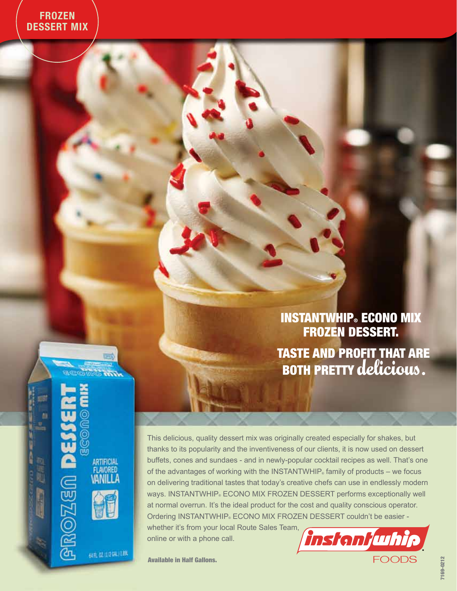INSTANTWHIP**®** ECONO MIX FROZEN DESSERT.

Taste and profit that are both Pretty delicious.

**PROZEN DE** ARTIFICIAL<br>FLAVORED VANILLA

ø

61日 02:1/2041 1.8%

**LES** 

**MITTE** & MITTE

This delicious, quality dessert mix was originally created especially for shakes, but thanks to its popularity and the inventiveness of our clients, it is now used on dessert buffets, cones and sundaes - and in newly-popular cocktail recipes as well. That's one of the advantages of working with the INSTANTWHIP $_{\circ}$  family of products – we focus on delivering traditional tastes that today's creative chefs can use in endlessly modern ways. INSTANTWHIP. ECONO MIX FROZEN DESSERT performs exceptionally well at normal overrun. It's the ideal product for the cost and quality conscious operator. Ordering INSTANTWHIP® ECONO MIX FROZEN DESSERT couldn't be easier -

whether it's from your local Route Sales Team, online or with a phone call.



Available in Half Gallons.